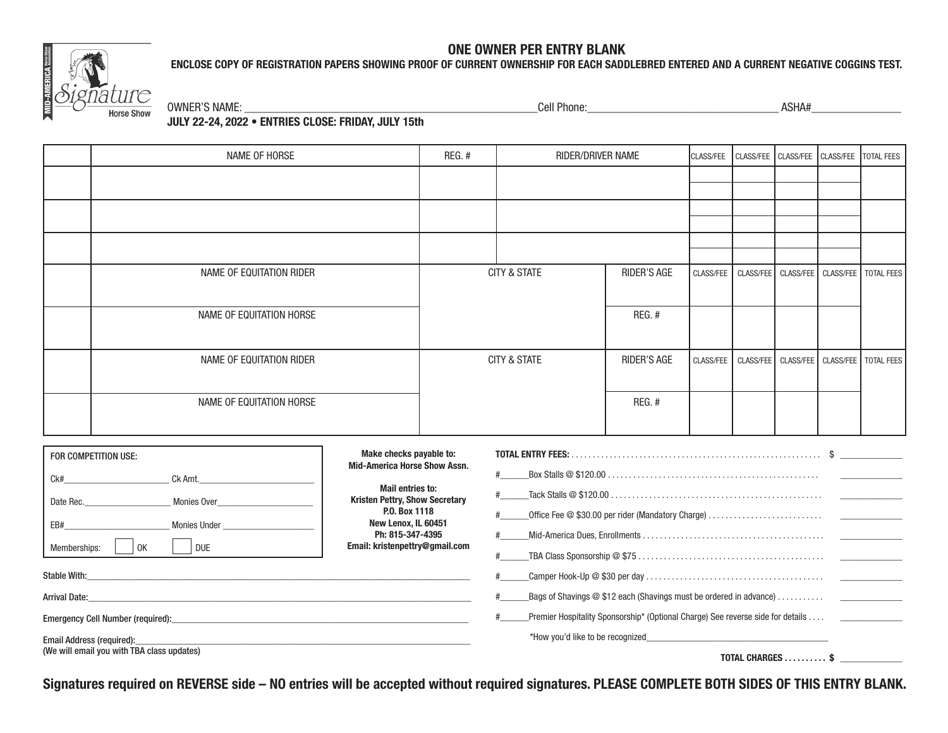# **MID-AMERICA** Horse Sh **Horse Show**

### **ONE OWNER PER ENTRY BLANK ENCLOSE COPY OF REGISTRATION PAPERS SHOWING PROOF OF CURRENT OWNERSHIP FOR EACH SADDLEBRED ENTERED AND A CURRENT NEGATIVE COGGINS TEST.**

OWNER'S NAME: \_\_\_\_\_\_\_\_\_\_\_\_\_\_\_\_\_\_\_\_\_\_\_\_\_\_\_\_\_\_\_\_\_\_\_\_\_\_\_\_\_\_\_\_\_\_\_\_\_Cell Phone:\_\_\_\_\_\_\_\_\_\_\_\_\_\_\_\_\_\_\_\_\_\_\_\_\_\_\_\_\_\_\_\_ ASHA#\_\_\_\_\_\_\_\_\_\_\_\_\_\_\_

**JULY 22-24, 2022 • ENTRIES CLOSE: FRIDAY, JULY 15th**

|                                                       | NAME OF HORSE            | REG.# | RIDER/DRIVER NAME       |                    | CLASS/FEE | CLASS/FEE |  | CLASS/FEE CLASS/FEE TOTAL FEES |                                                |
|-------------------------------------------------------|--------------------------|-------|-------------------------|--------------------|-----------|-----------|--|--------------------------------|------------------------------------------------|
|                                                       |                          |       |                         |                    |           |           |  |                                |                                                |
|                                                       |                          |       |                         |                    |           |           |  |                                |                                                |
|                                                       |                          |       |                         |                    |           |           |  |                                |                                                |
|                                                       |                          |       |                         |                    |           |           |  |                                |                                                |
|                                                       |                          |       |                         |                    |           |           |  |                                |                                                |
|                                                       | NAME OF EQUITATION RIDER |       | CITY & STATE            | RIDER'S AGE        | CLASS/FEE |           |  |                                | CLASS/FEE   CLASS/FEE   CLASS/FEE   TOTAL FEES |
|                                                       |                          |       |                         |                    |           |           |  |                                |                                                |
|                                                       | NAME OF EQUITATION HORSE |       |                         | REG. #             |           |           |  |                                |                                                |
|                                                       |                          |       |                         |                    |           |           |  |                                |                                                |
|                                                       | NAME OF EQUITATION RIDER |       | <b>CITY &amp; STATE</b> | <b>RIDER'S AGE</b> | CLASS/FEE |           |  |                                | CLASS/FEE   CLASS/FEE   CLASS/FEE   TOTAL FEES |
|                                                       |                          |       |                         |                    |           |           |  |                                |                                                |
|                                                       | NAME OF EQUITATION HORSE |       |                         | REG. #             |           |           |  |                                |                                                |
|                                                       |                          |       |                         |                    |           |           |  |                                |                                                |
|                                                       |                          |       |                         |                    |           |           |  |                                |                                                |
| Make checks payable to:<br>\$<br>FOR COMPETITION USE: |                          |       |                         |                    |           |           |  |                                |                                                |

| <b>Mail entries to:</b><br><b>Kristen Pettry, Show Secretary</b>                                                     |                                                                                                                                |
|----------------------------------------------------------------------------------------------------------------------|--------------------------------------------------------------------------------------------------------------------------------|
| P.O. Box 1118                                                                                                        |                                                                                                                                |
| Ph: 815-347-4395                                                                                                     |                                                                                                                                |
|                                                                                                                      |                                                                                                                                |
|                                                                                                                      |                                                                                                                                |
| <u> 1989 - Jan James James James James James James James James James James James James James James James James J</u> | $\_\$ Bags of Shavings @ \$12 each (Shavings must be ordered in advance) $\ldots\ldots\ldots\qquad \_\_\_\_\_\_\_\_\_\_$       |
|                                                                                                                      | Premier Hospitality Sponsorship* (Optional Charge) See reverse side for details ___________                                    |
| and the control of the control of the control of the control of the control of the control of the control of the     |                                                                                                                                |
|                                                                                                                      | TOTAL CHARGES \$                                                                                                               |
|                                                                                                                      | <b>MARG CHECAS PAYADIC ID.</b><br><b>Mid-America Horse Show Assn.</b><br>New Lenox, IL 60451<br>Email: kristenpettry@gmail.com |

**Signatures required on REVERSE side – NO entries will be accepted without required signatures. PLEASE COMPLETE BOTH SIDES OF THIS ENTRY BLANK.**